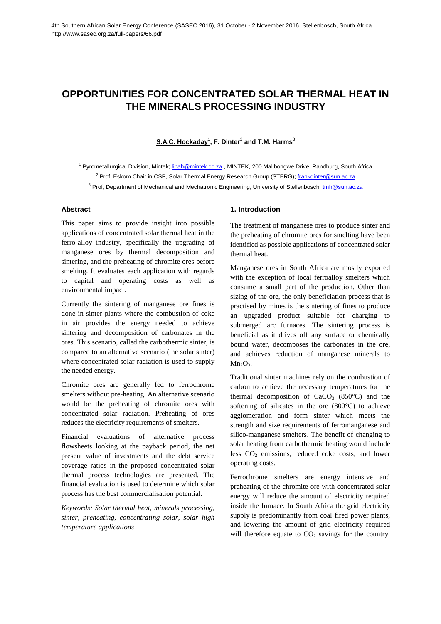# **OPPORTUNITIES FOR CONCENTRATED SOLAR THERMAL HEAT IN THE MINERALS PROCESSING INDUSTRY**

**S.A.C. Hockaday**<sup>1</sup> **, F. Dinter**<sup>2</sup> **and T.M. Harms**<sup>3</sup>

<sup>1</sup> Pyrometallurgical Division, Mintek; linah@mintek.co.za, MINTEK, 200 Malibongwe Drive, Randburg, South Africa <sup>2</sup> Prof, Eskom Chair in CSP, Solar Thermal Energy Research Group (STERG); frankdinter@sun.ac.za

<sup>3</sup> Prof, Department of Mechanical and Mechatronic Engineering, University of Stellenbosch; ton **@sun.ac.za** 

## **Abstract**

This paper aims to provide insight into possible applications of concentrated solar thermal heat in the ferro-alloy industry, specifically the upgrading of manganese ores by thermal decomposition and sintering, and the preheating of chromite ores before smelting. It evaluates each application with regards to capital and operating costs as well as environmental impact.

Currently the sintering of manganese ore fines is done in sinter plants where the combustion of coke in air provides the energy needed to achieve sintering and decomposition of carbonates in the ores. This scenario, called the carbothermic sinter, is compared to an alternative scenario (the solar sinter) where concentrated solar radiation is used to supply the needed energy.

Chromite ores are generally fed to ferrochrome smelters without pre-heating. An alternative scenario would be the preheating of chromite ores with concentrated solar radiation. Preheating of ores reduces the electricity requirements of smelters.

Financial evaluations of alternative process flowsheets looking at the payback period, the net present value of investments and the debt service coverage ratios in the proposed concentrated solar thermal process technologies are presented. The financial evaluation is used to determine which solar process has the best commercialisation potential.

*Keywords: Solar thermal heat, minerals processing, sinter, preheating, concentrating solar, solar high temperature applications*

## **1. Introduction**

The treatment of manganese ores to produce sinter and the preheating of chromite ores for smelting have been identified as possible applications of concentrated solar thermal heat.

Manganese ores in South Africa are mostly exported with the exception of local ferroalloy smelters which consume a small part of the production. Other than sizing of the ore, the only beneficiation process that is practised by mines is the sintering of fines to produce an upgraded product suitable for charging to submerged arc furnaces. The sintering process is beneficial as it drives off any surface or chemically bound water, decomposes the carbonates in the ore, and achieves reduction of manganese minerals to  $Mn_2O_3$ .

Traditional sinter machines rely on the combustion of carbon to achieve the necessary temperatures for the thermal decomposition of  $CaCO<sub>3</sub>$  (850 $^{\circ}$ C) and the softening of silicates in the ore (800°C) to achieve agglomeration and form sinter which meets the strength and size requirements of ferromanganese and silico-manganese smelters. The benefit of changing to solar heating from carbothermic heating would include less  $CO<sub>2</sub>$  emissions, reduced coke costs, and lower operating costs.

Ferrochrome smelters are energy intensive and preheating of the chromite ore with concentrated solar energy will reduce the amount of electricity required inside the furnace. In South Africa the grid electricity supply is predominantly from coal fired power plants, and lowering the amount of grid electricity required will therefore equate to  $CO<sub>2</sub>$  savings for the country.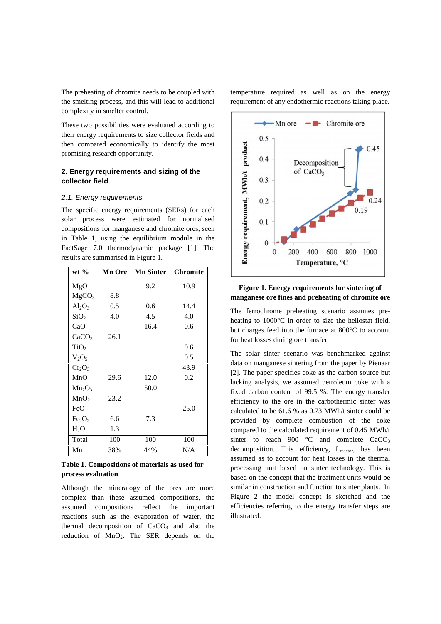The preheating of chromite needs to be coupled with the smelting process, and this will lead to additional complexity in smelter control.

These two possibilities were evaluated according to their energy requirements to size collector fields and then compared economically to identify the most promising research opportunity.

# **2. Energy requirements and sizing of the collector field**

#### *2.1. Energy requirements*

The specific energy requirements and sizing of the<br> **Example 19 Solution** Schematics and sizing of the<br> **Collector field**<br>
2.1. Energy requirements<br>
The specific energy requirements (SERs) for each<br>
solar process were esti solar process were estimated for normalised compositions for manganese and chromite ores, seen in Table 1, using the equilibrium module in the FactSage 7.0 thermodynamic package [1]. The results are summarised in Figure 1.

| $wt$ %                         | <b>Mn Ore</b> | <b>Mn Sinter</b> | <b>Chromite</b> |                           |
|--------------------------------|---------------|------------------|-----------------|---------------------------|
| MgO                            |               | 9.2              | 10.9            |                           |
| MgCO <sub>3</sub>              | 8.8           |                  |                 | $\mathbf n$               |
| $Al_2O_3$                      | 0.5           | 0.6              | 14.4            | T                         |
| SiO <sub>2</sub>               | 4.0           | 4.5              | 4.0             | $\boldsymbol{\mathrm{h}}$ |
| CaO                            |               | 16.4             | 0.6             | b                         |
| CaCO <sub>3</sub>              | 26.1          |                  |                 | f                         |
| TiO <sub>2</sub>               |               |                  | 0.6             |                           |
| $V_2O_5$                       |               |                  | 0.5             | T                         |
| Cr <sub>2</sub> O <sub>3</sub> |               |                  | 43.9            | d<br>Ľ                    |
| MnO                            | 29.6          | 12.0             | 0.2             | k                         |
| $Mn_2O_3$                      |               | 50.0             |                 | fi                        |
| MnO <sub>2</sub>               | 23.2          |                  |                 | e                         |
| FeO                            |               |                  | 25.0            | $\mathbf c$               |
| Fe <sub>2</sub> O <sub>3</sub> | 6.6           | 7.3              |                 | p                         |
| $H_2O$                         | 1.3           |                  |                 | $\mathbf c$               |
| Total                          | 100           | 100              | 100             | S                         |
| Mn                             | 38%           | 44%              | N/A             | d                         |

**Table 1. Compositions of materials as used for process evaluation**

Although the mineralogy of the ores are more complex than these assumed compositions, the assumed compositions reflect the important reactions such as the evaporation of water, the thermal decomposition of  $CaCO<sub>3</sub>$  and also the reduction of MnO<sub>2</sub>. The SER depends on the

temperature required as well as on the energy requirement of any endothermic reactions taking place.



# **Figure 1. Energy requirements for sintering of manganese ore fines and preheating of chromite ore**

The ferrochrome preheating scenario assumes pre heating to 1000°C in order to size the heliostat field, but charges feed into the furnace at 800°C to account for heat losses during ore transfer.

The solar sinter scenario was benchmarked against data on manganese sintering from the paper by Pienaar [2]. The paper specifies coke as the carbon source but lacking analysis, we assumed petroleum coke with a fixed carbon content of 99.5 %. The energy transfer efficiency to the ore in the carbothermic sinter was calculated to be 61.6 % as 0.73 MWh/t sinter could be provided by complete combustion of the coke compared to the calculated requirement of 0.45 MWh/t sinter to reach 900  $\degree$ C and complete CaCO<sub>3</sub> decomposition. This efficiency, reactor, has been assumed as to account for heat losses in the thermal processing unit based on sinter technology. This is based on the concept that the treatment units would be similar in construction and function to sinter plants. In Figure 2 the model concept is sketched and the efficiencies referring to the energy transfer steps are illustrated.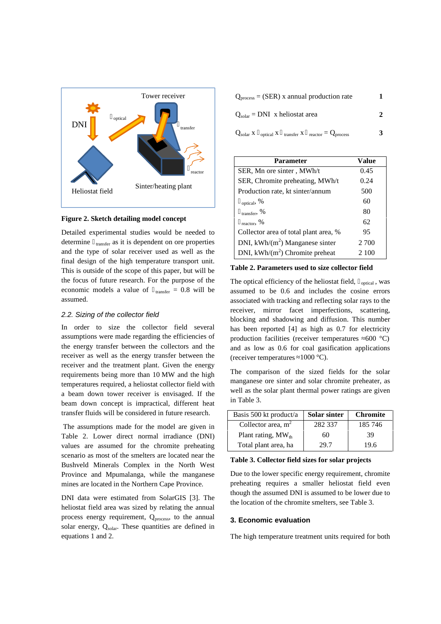

#### **Figure 2. Sketch detailing model concept**

Detailed experimental studies would be needed to determine transfer as it is dependent on ore properties and the type of solar receiver used as well as the final design of the high temperature transport unit. This is outside of the scope of this paper, but will be the focus of future research. For the purpose of the economic models a value of  $_{\text{transfer}} = 0.8$  will be assumed.

### *2.2. Sizing of the collector field*

In order to size the collector field several assumptions were made regarding the efficiencies of the energy transfer between the collectors and the receiver as well as the energy transfer between the receiver and the treatment plant. Given the energy requirements being more than 10 MW and the high temperatures required, a heliostat collector field with a beam down tower receiver is envisaged. If the beam down concept is impractical, different heat transfer fluids will be considered in future research.

The assumptions made for the model are given in Table 2. Lower direct normal irradiance (DNI) values are assumed for the chromite preheating scenario as most of the smelters are located near the Bushveld Minerals Complex in the North West Province and Mpumalanga, while the manganese mines are located in the Northern Cape Province.

DNI data were estimated from SolarGIS [3]. The heliostat field area was sized by relating the annual process energy requirement,  $Q_{\text{process}}$ , to the annual solar energy, Qsolar. These quantities are defined in equations 1 and 2.

| $Q_{process} = (SER)$ x annual production rate                           |   |
|--------------------------------------------------------------------------|---|
| $Q_{\text{solar}} = \text{DNI}$ x heliostat area                         |   |
| $Q_{\text{solar}} X$ optical X transfer X reactor = $Q_{\text{process}}$ | ર |

| <b>Parameter</b>                      | Value |
|---------------------------------------|-------|
| SER, Mn ore sinter, MWh/t             | 0.45  |
| SER, Chromite preheating, MWh/t       | 0.24  |
| Production rate, kt sinter/annum      | 500   |
| optical, $%$                          | 60    |
| transfer, $%$                         | 80    |
| $_{\text{reactor}}$ , %               | 62    |
| Collector area of total plant area, % | 95    |
| DNI, kWh/ $(m^2)$ Manganese sinter    | 2 700 |
| DNI, $kWh/(m^2)$ Chromite preheat     | 2 100 |

**Table 2. Parameters used to size collector field**

The optical efficiency of the heliostat field,  $_{\text{optical}}$ , was assumed to be 0.6 and includes the cosine errors associated with tracking and reflecting solar rays to the receiver, mirror facet imperfections, scattering, blocking and shadowing and diffusion. This number has been reported [4] as high as 0.7 for electricity production facilities (receiver temperatures  $600 \degree C$ ) and as low as 0.6 for coal gasification applications (receiver temperatures  $1000 \degree C$ ).

The comparison of the sized fields for the solar manganese ore sinter and solar chromite preheater, as well as the solar plant thermal power ratings are given in Table 3.

| Basis 500 kt product/a  | <b>Solar sinter</b> | <b>Chromite</b> |
|-------------------------|---------------------|-----------------|
| Collector area, $m2$    | 282 337             | 185 746         |
| Plant rating, $MW_{th}$ | 60                  | 39              |
| Total plant area, ha    | 29.7                | 19.6            |

# Ha **Table 3. Collector field sizes for solar projects**

Due to the lower specific energy requirement, chromite preheating requires a smaller heliostat field even though the assumed DNI is assumed to be lower due to the location of the chromite smelters, see Table 3.

## **3. Economic evaluation**

The high temperature treatment units required for both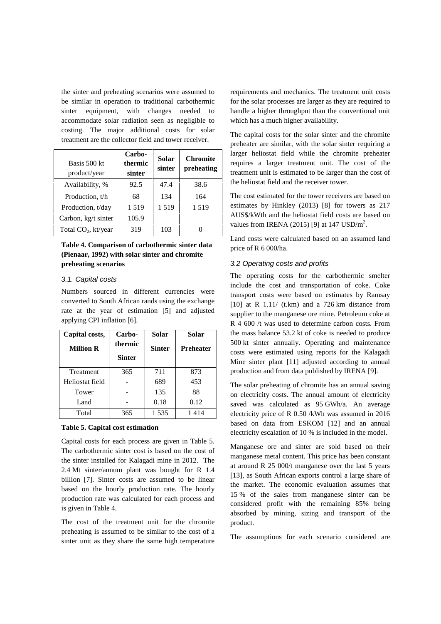the sinter and preheating scenarios were assumed to be similar in operation to traditional carbothermic sinter equipment, with changes needed to accommodate solar radiation seen as negligible to costing. The major additional costs for solar treatment are the collector field and tower receiver.

| Basis 500 kt<br>product/year    | Carbo-<br>thermic<br>sinter | <b>Solar</b><br>sinter | <b>Chromite</b><br>preheating | la<br>re<br>tr |
|---------------------------------|-----------------------------|------------------------|-------------------------------|----------------|
| Availability, %                 | 92.5                        | 47.4                   | 38.6                          | th             |
| Production, t/h                 | 68                          | 134                    | 164                           | T              |
| Production, t/day               | 1519                        | 1519                   | 1519                          | es             |
| Carbon, kg/t sinter             | 105.9                       |                        |                               | А              |
| Total CO <sub>2</sub> , kt/year | 319                         | 103                    |                               | Vź             |
|                                 |                             |                        |                               |                |

## **Table 4. Comparison of carbothermic sinter data (Pienaar, 1992) with solar sinter and chromite preheating scenarios**

## *3.1. Capital costs*

Numbers sourced in different currencies were converted to South African rands using the exchange rate at the year of estimation [5] and adjusted applying CPI inflation [6].

| Capital costs,   | Carbo-        | <b>Solar</b>  | Solar            |
|------------------|---------------|---------------|------------------|
| <b>Million R</b> | thermic       | <b>Sinter</b> | <b>Preheater</b> |
|                  | <b>Sinter</b> |               |                  |
| Treatment        | 365           | 711           | 873              |
| Heliostat field  |               | 689           | 453              |
| Tower            |               | 135           | 88               |
| Land             |               | 0.18          | 0.12             |
| Total            | 365           | 1535          | 1 4 1 4          |

#### **Table 5. Capital cost estimation**

Capital costs for each process are given in Table 5. The carbothermic sinter cost is based on the cost of the sinter installed for Kalagadi mine in 2012. The 2.4 Mt sinter/annum plant was bought for R 1.4 billion [7]. Sinter costs are assumed to be linear based on the hourly production rate. The hourly production rate was calculated for each process and is given in Table 4.

The cost of the treatment unit for the chromite preheating is assumed to be similar to the cost of a sinter unit as they share the same high temperature requirements and mechanics. The treatment unit costs for the solar processes are larger as they are required to handle a higher throughput than the conventional unit which has a much higher availability.

**Chromite** requires a larger treatment unit. The cost of the **preheating** treatment unit is estimated to be larger than the cost of The capital costs for the solar sinter and the chromite preheater are similar, with the solar sinter requiring a larger heliostat field while the chromite preheater the heliostat field and the receiver tower.

> The cost estimated for the tower receivers are based on estimates by Hinkley (2013) [8] for towers as 217 AUS\$/kWth and the heliostat field costs are based on values from IRENA (2015) [9] at  $147 \text{ USD/m}^2$ .

> Land costs were calculated based on an assumed land price of R 6 000/ha.

## *3.2 Operating costs and profits*

The operating costs for the carbothermic smelter include the cost and transportation of coke. Coke transport costs were based on estimates by Ramsay [10] at R  $1.11/$  (t.km) and a 726 km distance from supplier to the manganese ore mine. Petroleum coke at R 4 600 /t was used to determine carbon costs. From the mass balance 53.2 kt of coke is needed to produce 500 kt sinter annually. Operating and maintenance costs were estimated using reports for the Kalagadi Mine sinter plant [11] adjusted according to annual production and from data published by IRENA [9].

The solar preheating of chromite has an annual saving on electricity costs. The annual amount of electricity saved was calculated as 95 GWh/a. An average electricity price of R 0.50 /kWh was assumed in 2016 based on data from ESKOM [12] and an annual electricity escalation of 10 % is included in the model.

Manganese ore and sinter are sold based on their manganese metal content. This price has been constant at around R 25 000/t manganese over the last 5 years [13], as South African exports control a large share of the market. The economic evaluation assumes that 15 % of the sales from manganese sinter can be considered profit with the remaining 85% being absorbed by mining, sizing and transport of the product.

The assumptions for each scenario considered are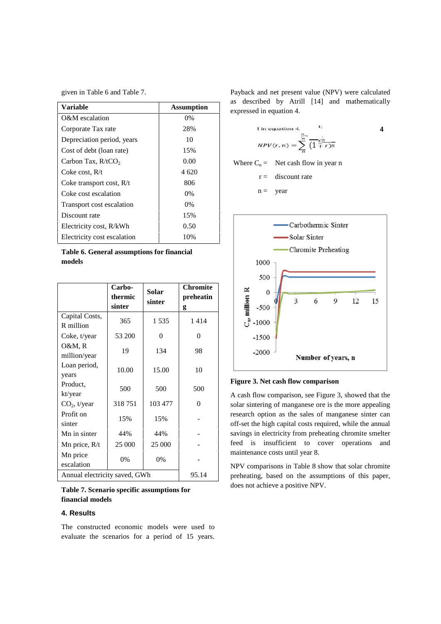given in Table 6 and Table 7.

| Variable                    | <b>Assumption</b> |
|-----------------------------|-------------------|
| O&M escalation              | $0\%$             |
| Corporate Tax rate          | 28%               |
| Depreciation period, years  | 10                |
| Cost of debt (loan rate)    | 15%               |
| Carbon Tax, $R/tCO2$        | 0.00              |
| Coke cost, $R/t$            | 4 620             |
| Coke transport cost, $R/t$  | 806               |
| Coke cost escalation        | $0\%$             |
| Transport cost escalation   | $0\%$             |
| Discount rate               | 15%               |
| Electricity cost, R/kWh     | 0.50              |
| Electricity cost escalation | 10%               |

**Table 6. General assumptions for financial models**

|                               | Carbo-<br>thermic<br>sinter | Solar<br>sinter | <b>Chromite</b><br>preheatin<br>g |                   |
|-------------------------------|-----------------------------|-----------------|-----------------------------------|-------------------|
| Capital Costs,<br>R million   | 365                         | 1535            | 1414                              |                   |
| Coke, t/year                  | 53 200                      | $\theta$        | $\overline{0}$                    |                   |
| O&M, R<br>million/year        | 19                          | 134             | 98                                |                   |
| Loan period,<br>years         | 10.00                       | 15.00           | 10                                |                   |
| Product.<br>kt/year           | 500                         | 500             | 500                               | Figu<br>A ca      |
| $CO2$ , t/year                | 318751                      | 103 477         | $\theta$                          | sola              |
| Profit on<br>sinter           | 15%                         | 15%             |                                   | rese<br>off-      |
| Mn in sinter                  | 44%                         | 44%             |                                   | savi              |
| Mn price, R/t                 | 25 000                      | 25 000          |                                   | feed              |
| Mn price<br>escalation        | 0%                          | 0%              |                                   | mai<br><b>NPV</b> |
| Annual electricity saved, GWh |                             |                 | 95.14                             | preh              |

# **Table 7. Scenario specific assumptions for financial models**

## **4. Results**

The constructed economic models were used to evaluate the scenarios for a period of 15 years.

Payback and net present value (NPV) were calculated as described by Atrill [14] and mathematically expressed in equation 4.





A cash flow comparison, see Figure 3, showed that the solar sintering of manganese ore is the more appealing research option as the sales of manganese sinter can off-set the high capital costs required, while the annual savings in electricity from preheating chromite smelter feed is insufficient to cover operations and maintenance costs until year 8.

NPV comparisons in Table 8 show that solar chromite preheating, based on the assumptions of this paper, does not achieve a positive NPV.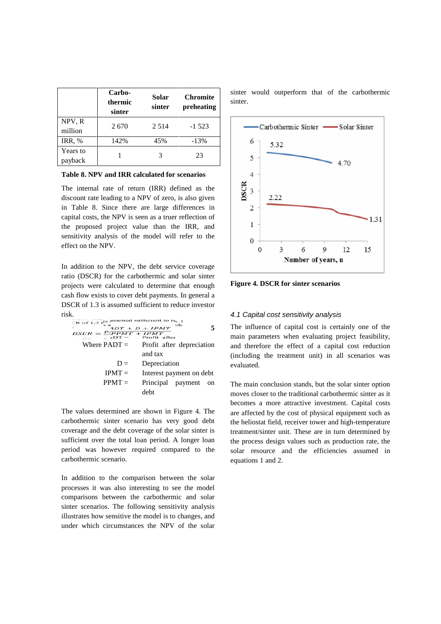|                     | Carbo-<br>thermic<br>sinter | Solar<br>sinter | <b>Chromite</b><br>preheating | sinter<br>sinter. |
|---------------------|-----------------------------|-----------------|-------------------------------|-------------------|
| NPV, R<br>million   | 2670                        | 2 5 1 4         | $-1523$                       |                   |
| <b>IRR, %</b>       | 142%                        | 45%             | $-13%$                        |                   |
| Years to<br>payback |                             |                 | 23                            | t,                |

**Table 8. NPV and IRR calculated for scenarios**

The internal rate of return (IRR) defined as the The internal rate of return (IRR) defined as the discount rate leading to a NPV of zero, is also given in Table 8. Since there are large differences in capital costs, the NPV is seen as a truer reflection of the proposed project value than the IRR, and sensitivity analysis of the model will refer to the effect on the NPV.

In addition to the NPV, the debt service coverage ratio (DSCR) for the carbothermic and solar sinter projects were calculated to determine that enough cash flow exists to cover debt payments. In general a DSCR of 1.3 is assumed sufficient to reduce investor risk.

The  
\n
$$
DSCR = \frac{P_{2PMT} + D + IPMT}{2PMT} + P_{2PMT}^{\text{total}}
$$
 is an  
\nWhere  $PADT =$  Profit after an  
\nand tax (inc  
\n $D =$  Depreciation and  
\nIPMT = Interest payment on debt  
\nPPMT = Principal payment on  
\n $Q =$  1

The values determined are shown in Figure 4. The carbothermic sinter scenario has very good debt coverage and the debt coverage of the solar sinter is sufficient over the total loan period. A longer loan period was however required compared to the carbothermic scenario.

In addition to the comparison between the solar processes it was also interesting to see the model comparisons between the carbothermic and solar sinter scenarios. The following sensitivity analysis illustrates how sensitive the model is to changes, and under which circumstances the NPV of the solar sinter would outperform that of the carbothermic sinter.



**Figure 4. DSCR for sinter scenarios**

## *4.1 Capital cost sensitivity analysis*

**5** The influence of capital cost is certainly one of the main parameters when evaluating project feasibility, and therefore the effect of a capital cost reduction (including the treatment unit) in all scenarios was evaluated.

The main conclusion stands, but the solar sinter option moves closer to the traditional carbothermic sinter as it becomes a more attractive investment. Capital costs are affected by the cost of physical equipment such as the heliostat field, receiver tower and high-temperature treatment/sinter unit. These are in turn determined by the process design values such as production rate, the solar resource and the efficiencies assumed in equations 1 and 2.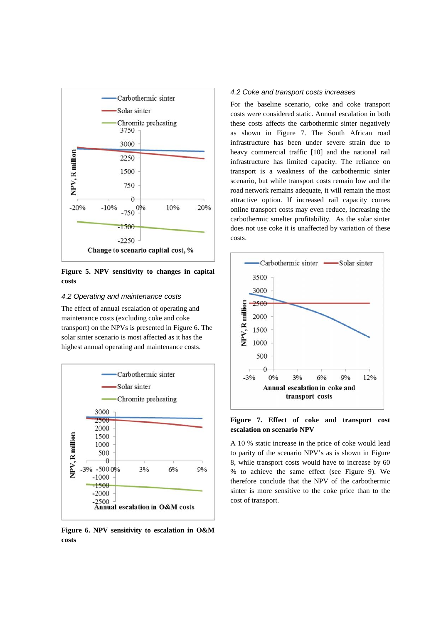

**Figure 5. NPV sensitivity to changes in capital costs**

## *4.2 Operating and maintenance costs*

The effect of annual escalation of operating and maintenance costs (excluding coke and coke transport) on the NPVs is presented in Figure 6. The solar sinter scenario is most affected as it has the highest annual operating and maintenance costs.



**Figure 6. NPV sensitivity to escalation in O&M costs**

#### *4.2 Coke and transport costs increases*

For the baseline scenario, coke and coke transport costs were considered static. Annual escalation in both these costs affects the carbothermic sinter negatively as shown in Figure 7. The South African road infrastructure has been under severe strain due to heavy commercial traffic [10] and the national rail infrastructure has limited capacity. The reliance on transport is a weakness of the carbothermic sinter scenario, but while transport costs remain low and the road network remains adequate, it will remain the most attractive option. If increased rail capacity comes online transport costs may even reduce, increasing the carbothermic smelter profitability. As the solar sinter does not use coke it is unaffected by variation of these costs.



**Figure 7. Effect of coke and transport cost escalation on scenario NPV**

A 10 % static increase in the price of coke would lead to parity of the scenario NPV's as is shown in Figure 8, while transport costs would have to increase by 60 % to achieve the same effect (see Figure 9). We therefore conclude that the NPV of the carbothermic sinter is more sensitive to the coke price than to the cost of transport.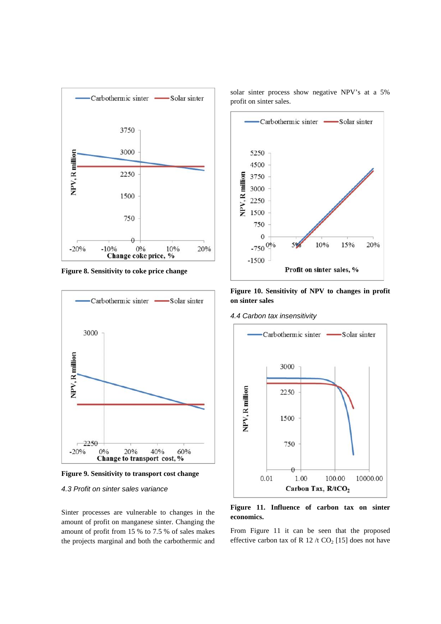

**Figure 8. Sensitivity to coke price change**



**Figure 9. Sensitivity to transport cost change**

#### *4.3 Profit on sinter sales variance*

Sinter processes are vulnerable to changes in the amount of profit on manganese sinter. Changing the amount of profit from 15 % to 7.5 % of sales makes the projects marginal and both the carbothermic and solar sinter process show negative NPV's at a 5% profit on sinter sales.



**Figure 10. Sensitivity of NPV to changes in profit on sinter sales**

*4.4 Carbon tax insensitivity*



**Figure 11. Influence of carbon tax on sinter economics.**

From Figure 11 it can be seen that the proposed effective carbon tax of R 12 /t  $CO<sub>2</sub>$  [15] does not have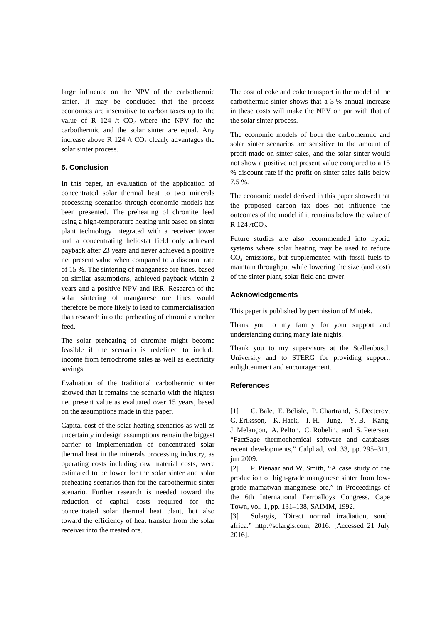large influence on the NPV of the carbothermic sinter. It may be concluded that the process economics are insensitive to carbon taxes up to the value of R 124 /t  $CO<sub>2</sub>$  where the NPV for the carbothermic and the solar sinter are equal. Any increase above R 124 /t  $CO<sub>2</sub>$  clearly advantages the solar sinter process.

## **5. Conclusion**

In this paper, an evaluation of the application of concentrated solar thermal heat to two minerals processing scenarios through economic models has been presented. The preheating of chromite feed using a high-temperature heating unit based on sinter plant technology integrated with a receiver tower and a concentrating heliostat field only achieved payback after 23 years and never achieved a positive net present value when compared to a discount rate of 15 %. The sintering of manganese ore fines, based on similar assumptions, achieved payback within 2 years and a positive NPV and IRR. Research of the solar sintering of manganese ore fines would therefore be more likely to lead to commercialisation than research into the preheating of chromite smelter feed.

The solar preheating of chromite might become feasible if the scenario is redefined to include income from ferrochrome sales as well as electricity savings.

Evaluation of the traditional carbothermic sinter showed that it remains the scenario with the highest net present value as evaluated over 15 years, based on the assumptions made in this paper.

Capital cost of the solar heating scenarios as well as uncertainty in design assumptions remain the biggest barrier to implementation of concentrated solar thermal heat in the minerals processing industry, as operating costs including raw material costs, were [2] estimated to be lower for the solar sinter and solar preheating scenarios than for the carbothermic sinter scenario. Further research is needed toward the reduction of capital costs required for the concentrated solar thermal heat plant, but also  $\frac{10}{[3]}$ toward the efficiency of heat transfer from the solar receiver into the treated ore.

The cost of coke and coke transport in the model of the carbothermic sinter shows that a 3 % annual increase in these costs will make the NPV on par with that of the solar sinter process.

The economic models of both the carbothermic and solar sinter scenarios are sensitive to the amount of profit made on sinter sales, and the solar sinter would not show a positive net present value compared to a 15 % discount rate if the profit on sinter sales falls below 7.5 %.

The economic model derived in this paper showed that the proposed carbon tax does not influence the outcomes of the model if it remains below the value of R  $124 / tCO<sub>2</sub>$ .

Future studies are also recommended into hybrid systems where solar heating may be used to reduce  $CO<sub>2</sub>$  emissions, but supplemented with fossil fuels to maintain throughput while lowering the size (and cost) of the sinter plant, solar field and tower.

## **Acknowledgements**

This paper is published by permission of Mintek.

Thank you to my family for your support and understanding during many late nights.

Thank you to my supervisors at the Stellenbosch University and to STERG for providing support, enlightenment and encouragement.

## **References**

[1] C. Bale, E. Bélisle, P. Chartrand, S. Decterov, G. Eriksson, K. Hack, I.-H. Jung, Y.-B. Kang, J. Melançon, A. Pelton, C. Robelin, and S. Petersen, "FactSage thermochemical software and databases recent developments," Calphad, vol. 33, pp. 295–311, jun 2009.

[2] P. Pienaar and W. Smith, "A case study of the production of high-grade manganese sinter from low grade mamatwan manganese ore," in Proceedings of the 6th International Ferroalloys Congress, Cape Town, vol. 1, pp. 131–138, SAIMM, 1992.

Solargis, "Direct normal irradiation, south africa." http://solargis.com, 2016. [Accessed 21 July 2016].